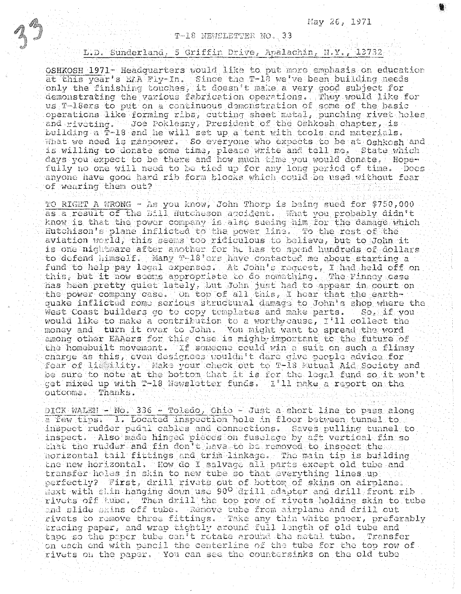T-18 NEWSLETTER NO. 33

## L.D. Sunderland, 5 Griffin Drive, Apalachin, N.Y., 13732

OSHKOSH 1971- Headquarters would like to put more emphasis on education at this year's EA Fly-In. Since the T-10 we've been building needs only the finishing touches, it doesn't make a very good subject for demonstrating the various fabrication operations. They would like for us T-18ers to put on a continuous demonstration of some of the basic operations like forming ribs, cutting sheet metal, punching rivet holes<br>and riveting. Joe Poklesny, President of the Oshkosh chapter, is building a T-18 and he will set up a tent with tools and materials. What we need is manpower. So everyone who expects to be at Oshkosh and is willing to donate some time, please write and toll me. State which days you expect to be there and how much time you would donate. Hopefully no one will need to be tied up for any long period of time. Does anyone have good hard rib form blocks which could be used without fear of wearing them out?

TO RIGHT A WRONG - As you know, John Thorp is being sued for \$750,000 as a result of the Eill Hutcheson accident. What you probably didn't know is that the power company is also sueing him for the damage which Hutchison's plane inflicted to the power line. To the rest of the aviation world, this seems too ridiculous to believe, but to John it is one nightmare after another for he has to spend hundreds of dollars to defend himself. Many T-18 ers have contacted me about starting a fund to help pay legal expenses. At John's request, I had held off on this, but it now seens appropriate to do something. The Finney case has been pretty quiet lately, but John just had to appear in court on the power company case. On top of all this, I hear that the earthguake inflicted some serious structural damage to John's shop where the west Coast builders go to copy templates and make parts. – So, if vou would like to make a contribution to a worthy cause, I'll collect the money and turn it over to John. You might want to spread the word among other EAAers for this case is might important to the future of the homebuilt movement. If someone could win a suit on such a flimsy charge as this, even designees wouldn't dare give people advice for fear of listility. Make your check out to T-18 Mutual Aid Society and be sure to note at the bottom that it is for the legal fund so it won't get mixed up with T-18 Newsletter funds. I'll make a recort on the outcome. Thanks.

DICK WALEN - No. 336 - Toledo, Ohio - Just a short line to pass along a few tips. 1. Located inspection hole in floor between tunnel to inspect rudder pedal cables and connections. Saves pulling tunnel to inspect. Also made hinged pieces on fuselage by aft vertical fin so that the rudder and fin don't have to be removed to inspect the horizontal tail fittings and trim linkage. The main tip is building the new horizontal. How do I salvage all parts except old tube and transfer holes in skin to new tube so that everything lines up perfectly? First, drill rivets out of bottom of skins on airplane. Next with slin hanging down use 90<sup>0</sup> drill adapter and drill front rib rivets off tube. Then drill the top row of rivets holding skin to tube and slide skins off tube. Remove tube from airplane and drill out rivets to remove three fittings. Take any thin white paper, preferably tracing paper, and wrap tightly around full length of old tube and tape so the paper tube can't rotate around the metal tube. Transfer on each end with pencil the centerline of the tube for the top row of rivets on the paper. You can see the countersinks on the old tube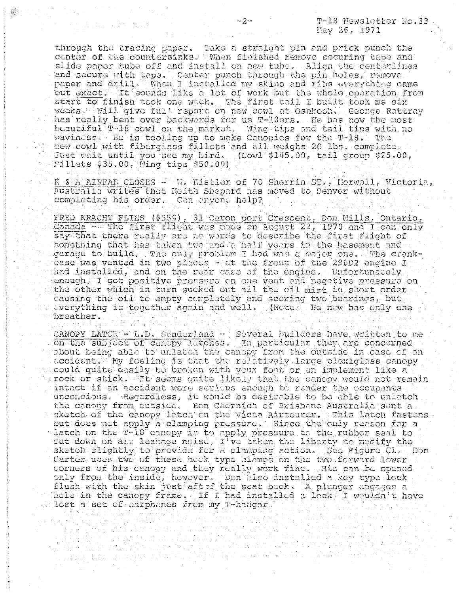T-18 Mewsletter No.33 May 26, 1971

through the tracing paper. Take a straight pin and prick punch the center of the countersinks. When finished remove securing tape and slide paper tube off and install on new tube. Align the centerlines and secure with tape. Center punch through the pin holes, remove paper and drill. When I installed my skins and ribs everything came out exact. It sounds like a lot of work but the whole operation from start to finish took one work. The first tail I built took me six weeks. Will give full report on new cowl at Oshkosh. Ceonge Rattray has really bent over backwards for us T-18ers. He has now the most beautiful T-18 cowl on the market. Wing tips and tail tips with no waviness. He is tooling up to make Canopies for the T-18. The new cowl with fiberglass fillets and all weighs 20 lbs. complete. Just wait until you see my bird. (Cowl \$145.00, tail group \$25.00, Fillets  $$35.00$ , Wing tips  $$50.00)$ 

R & A AIRFAB CLOSES - W. Kistler of 70 Sherrin ST., Norwell, Victoria, Australia writes that Keith Shepard has moved to Denver without completing his order. Can anyone help?

FRED KRACHT FLIES (#559), 31 Caron port Crescent, Don Mills, Ontario, Canada - The first flight was nade on August 23, 1970 and I can only say that there really are no words to describe the first flight of something that has taken two and a half years in the basement and garage to build. The only problem I had was a major one. The crankcase was vented in two places - at the front of the 290D2 engine I had installed, and on the rear case of the engine. Unfortunately enough, I got positive pressure on one vent and negative pressure on the other which in turn sucked out all the oil mist in short order causing the oil to empty completely and scoring two bearings, but everything is together again and well. (Note: He now has only one breather.

CANOPY LATCE - L.D. Sunderland - Several builders have written to me on the subject of cancpy latches. In particular they are concerned about being able to unlatch the canopy from the outside in case of an accident. My feeling is that the relatively large plexiglass canopy could quite easily be broken with your foot or an implement like a rock or stick. It seems quite likely that the canopy would not remain intact if an accident were serious enough to render the occupants unconcious. Regardless, it would be desirable to be able to unlatch the canopy from outside. Ron Chernich of Brisbane Australia sent a sketch of the canopy latch on the Victa Airtourer. This latch fastens but does not apply a clamping pressure. Since the only reason for a Latch on the  $T-18$  cancpy is to apply pressure to the rubber seal to cut down on air leakage noise, I've taken the liberty to modify the sketch slightly to provide for a clamping action. See Figure Cl. Don Carter uses two of these hock type clamps on the two forward lower. corners of his canopy and they really work fine. His can be opened only from the inside, however. Don tiso installed a key type lock flush with the skin just aft of the seat back. A plunger engages a hole in the canopy frame. If I had installed a lock. I wouldn't have lost a set of earphones from my T-hangar.

tara di politika.<br>Peristiwa

jaar 1960.

and with the co

网络国家语 dia ao amin'ny faritr'i A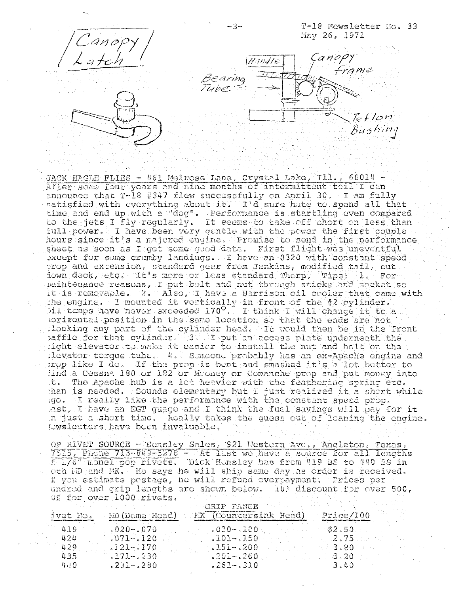

JACK HAGLE FLIES - 461 Melrose Lane, Crystal Lake, Ill., 60014 -After some four years and nine months of intermittent toil I can announce that T-18 #347 flew successfully on April 30. I am fully satisfied with everything about it. If d sure hate to spend all that time and end up with a "dog". Performance is startling even compared to the jets I fly regularly. It seems to take off short on less than full power. I have been very gentle with the power the first couple hours since it's a majored engine. Promise to send in the performance sheet as soon as I get some good data. First flight was uneventful except for some crumby landings. I have an 0320 with constant speed prop and extension, standard gear from Jenkins, modified tail, cut down deck, etc. It's more or less standard Thorp. Tips: 1. Fornaintenance reasons, I put bolt and nut through sticks and socket so it is removable. 2. Also, I have a Harrison oil cooler that came with the engine. I mounted it vertically in front of the #2 cylinder. )il temps have never exceeded  $170^{\circ}$ . I think I will change it to a porizontal position in the same location so that the ends are not plocking any part of the cylinder head. It would then be in the front paffle for that cylinder. 3. I put an access plate underneath the right elevator to make it easier to install the nut and bolt on the levator torque tube. 4. Someone probably has an ex-Apache engine and prop like I do. If the prop is bent and smashed it's a lot better to find a Cessna 180 or 182 or Mooney or Comanche prop and put money into t. The Apache hub is a lot heavier with the feathering spring etc. than is needed. Sounds elementary but I just realized it a short while go. I really like the performance with the constant speed prop. last, I have an EGT guage and I think the fuel savings will pay for it n just a short time. Really takes the guess out of leaning the engine. Jewsletters have been invaluable.

OP RIVET SOURCE - Hensley Sales, 921 Mestern Ave., Angleton, Texas, 7515, Phone 713-843-5278 - At last we have a source for all lengths fulled monel pop rivets. Dick Hensley has from #19 BS to 440 BS in oth MD and MK. He says he will ship same day as order is received. f you estimate postage, he will refund overpayment. Prices per undred and grip lengths are shown below. 10% discount for over 500, 0% for over 1000 rivets. We will be a

| $3$ vet $R$ o. |                | GRIP RANGE<br>MD (Dome Hoad) MK (Countersink Head) | - Price/100                              |
|----------------|----------------|----------------------------------------------------|------------------------------------------|
| - 419          | $.020 - .070$  | $\sim$ 030-.100 $\sim$                             | 32.50                                    |
| -424           | $0.071 - 120$  | $101 - 150$                                        |                                          |
| - 429.         | $.121 - .170.$ | $\cdot$ .151–.200 $-$                              |                                          |
| 435            | $171 - 230$    |                                                    | $3.201 - 260$ , and the state $3.20 - 3$ |
| 440.           | $.231 - .280$  | $261 - 310$                                        | $-3.40$                                  |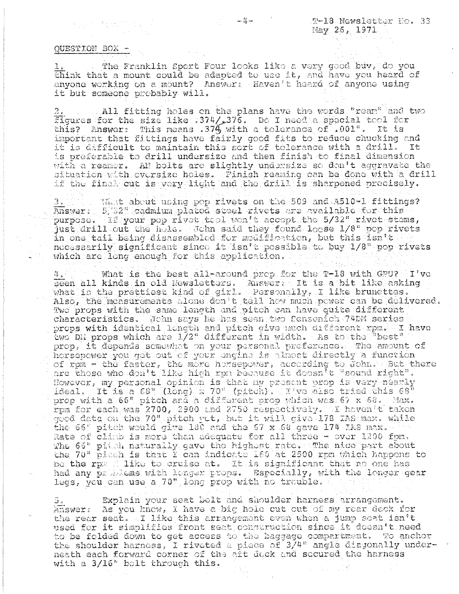## QUESTION BOX -

The Franklin Sport Four looks like a very good buy, do you think that a mount could be adapted to use it, and have you heard of anyone working on a mount? Answer: Haven't heard of anyone using it but someone probably will.

All fitting holes on the plans have the words "ream" and two figures for the size like :374/276. Do I need a special tool for this? Answer: This means .374 with a tolerance of .001". It is important that fittings have fairly good fits to reduce chucking and it is difficult to maintain this sort of tolerance with a drill. Tt. is preferable to drill undersize and then finish to final dimension with a reamer. AN bolts are slightly undersize so don't aggravate the situation with oversize holes. Finish reaming can be done with a drill if the final cut is very light and the drill is sharpened precisely.

Whit about using pop rivets on the 509 and A510-1 fittings? Answer: 5/32" cadmium plated steel rivets are available for this purpose. If your pop rivet tool won't accept the 5/32" rivet stems, just drill out the hole. John said they found loose 1/8" pop rivets in one tail being disassembled for modification, but this isn't necessarily significant since it isn't pessible to buy 1/8" pop rivets which are long enough for this application.

 $\Box$  what is the best all-around prop for the T-18 with GPU? I've  $4.1$ seen all kinds in old Newsletters. Answer: It is a bit like asking what is the prettiest kind of girl. Personally, I like brunettes. Also, the measurements alone don't tell how much power can be delivered. Two props with the same length and pitch can have quite different characteristics. John says he has seen two Sensenich 74DM series props with identical length and pitch give much different rpm. I have two DM props which are 1/2" different in width. As to the "best" prop, it depends somewhat on your personal preference. The amount of horsepower you get out of your engine is almost directly a function of rpm - the faster, the more horsepower, according to John. But there are those who don't like high rpn because it doesn't "sound right". However, my personal opinion is that my present prop is very nearly ideal. It is a 68" (long) x 70" (pitch). I ve also tried this 68" prop with a 66" pitch and a different prop which was 67 x 68. Max. rpm for each was 2700, 2900 and 2750 respectively. I haven't taken good data on the 70" pitch yet, but it will give 178 IAS max. while the 66" pitch would give 180 and the 67 x 68 gave 174 IAS max. Rate of climb is more than adequate for all three - over 1200 fpm. The 66" pitch naturally gave the highost rate. The nice part about<br>the 70" picch is that I can indicate 160 at 2500 rpm which happens to be the rp= 2 like to cruise at. It is significant that no one has had any primiems with longer props. Especially, with the longer gear legs, you can use a 70" long prop with no trouble.

Explain your seat belt and shoulder harness arrangement. Answer: As you know, I have a big hole cut out of my rear deck for the rear seat. I like this arrangement even when a jump seat isn't used for it simplifies front seat construction since it doesn't need to be folded down to get access to the baggage compartment. To anchor the shoulder harness, I riveted a piece of 3/4" angle diagonally underneath each forward corner of the aft dock and secured the harness with a 3/16" bolt through this.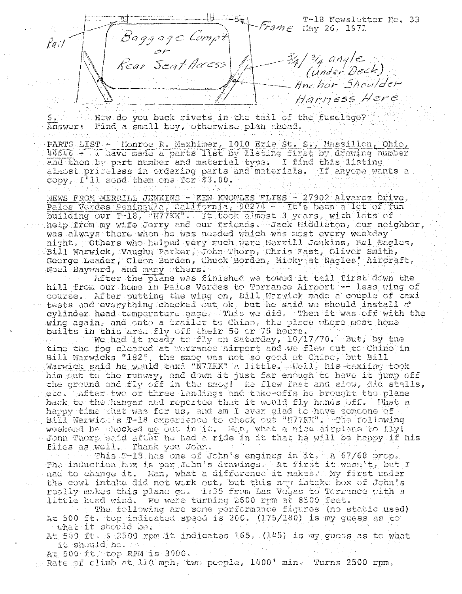T-18 Newsletter No. 33 rame May 26, 1971 Baggage Compt  $\forall$ o;/ 34/34 angle<br>(Under Deck)<br>Anchor Shoulder Rear Seat Acc Harness Here

 $6 \cdot$ How do you buck rivets in the tail of the fuselage? Answer: Find a small boy, otherwise plan ahead.

PARTS LIST - Monroe R. Maxhimer, 1010 Erie St. S., Massillon, Ohio, 44646 - I have made a parts list by listing first by drawing humber end then by part number and material type. I find this listing almost priceless in ordering parts and materials. If anyone wants a  $copy$ ,  $I'11$  send them one for \$3.00.

NEWS FROM MERRILL JENKINS - KEN KNOWLES FLIES - 27902 Alvarez Drive, Palos Verdes Peningula, California, 90274 - It's been a lot of fun building our T-18, N77KK". It took almost 3 years, with lots of help from my wife Jerry and our friends. Jack hiddleton, our neighbor, was always there when he was needed which was nost every weekday night. Tothers who helped very much were Merrill Jenkins, Mel Eagles,  $\sim$ Bill Warwick, Vaughn Parker, John Thorp, Chris Fast, Oliver Smith, George Leader, Cleon Burden, Chuck Borden, Micky at Nagles' Aircraft, Noel Hayward, and many others.

After the plane was finished we towed it tail first down the hill from our home in Pales Verdes to Torrance Airport - less wing of course. After putting the wing on, Bill Warwick made a couple of taxi  $\sim$  tests and everything checked out ok, but he said we should install a cylinder head temperature gage. This we did. Then it was off with the wing again, and onto a trailer to Chino, the place where most home builts in this area fly off their 50 or 75 hours.

We had it ready to fly on Saturday, 10/17/70. But, by the time the fog cleared at Torrance Airport and we flew out to Chino in Bill Warwicks "182", the smog was not so good at Chino, but Bill Warwick said he would taxi "N77KK" a little. Well, his taxiing took him out to the runway, and down it just far enough to have it jump off the ground and fly off in the smog! He flew fast and slow, did stalls, etc. After two or three landings and take-offs he brought the plane back to the hangar and reported that it would fly hands off. What a happy time that was for us, and am I ever glad to have someone of Bill Warwick's T-18 experience to check out "N77KK". The following weekend he chooked me out in it. Man, what a nice airplane to fly! John Thorp said after he had a ride in it that he will be kappy if his flies as well. Thank you John.

This T-13 has one of John's engines in it. A 67/68 prop. The induction hox is per John's drawings. At first it wasn't, but I had to change it. Man, what a difference it makes. My first under the cowl intake did not work out, but this new intake hox of John's really makes this plane go. 1:35 from Las Vegas to Torrance with a little head wind. We were turning 2600 rpm at 8509 feet.

The following are sone performance figures (no static used) At 500 ft. top indicated speed is 200. (175/180) is my guess as to What it should be.

At 500 ft. 8 2500 rpm it indicates 165. (145) is my guess as to what it should be.

At 500 ft. top RPM is 3000. Rate of climb at 110 mph, two people, 1400' min. Turns 2500 rpm.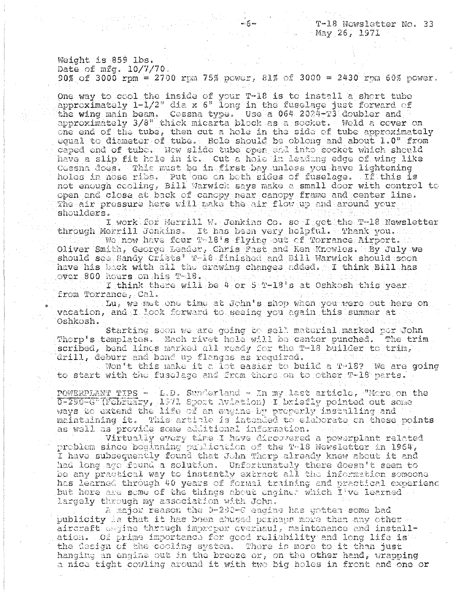T-18 Nowsletter No. 33 May 26, 1971

Weight is 859 lbs. Date of mfg. 10/7/70.

90% of 3000 rpm = 2700 rpm 75% power, 81% of 3000 = 2430 rpm 60% power.

 $6 -$ 

One way to cool the inside of your T-18 is to install a short tube approximately 1-1/2" dia x 6" long in the fuselage just forward of the wing main beam. Cossna type. Use a 064 2024-T3 doubler and approximately 3/8" thick micarta block as a socket. Weld a cover on one end of the tube, then cut a hole in the side of tube approximately equal to diameter of tube. Hole should be oblong and about 1.0" from caped end of tube. Now slide tube open and into socket which should have a slip fit hale in it. Cut a hole in leading edge of wing like Cossna does. This must be in first bay unless you have lightening holes in nose ribs. Put one on both sides of fuselage. If this is not enough cooling, Bill Warwick says make a small door with control to open and close at back of canopy near canopy frame and center line. The air pressure here will make the air flow up and around your shoulders.

I work for Merrill W. Jenkins Co. so I get the T-18 Newsletter through Merrill Jenkins. It has been very helpful. Thank you.

We now have four  $T-18$  s flying out of Torrance Airport. Oliver Smith, George Leader, Chris Fast and Ken Knowles. By July we should see Sandy Crists' T-18 finished and Bill Warwick should soon have his back with all the drawing changes added. All think Bill has over 800 hours on his T-18.

I think there will be  $4$  or  $5$   $2+18$  s at Oshkosh this year. from Torrance, Cal.

Lu, we met one time at John's shop when you were out here on vacation, and I look forward to seeing you again this summer at Oshkosh.

Starting soon we are going to sell material marked per John Therp's templates. Mach rivet hole will be center punched. The trim scribed, bend lines marked all ready for the T-18 builder to trim, drill, deburr and bend up flanges as required.

Won't this make it a lot easier to build a T-18? We are going to start with the fuselage and from there on to other T-18 parts.

POWERPLANT TIPS - L.D. Sunderland - In my last article, More on the 0-290-G (February, 1971 Sport Aviation) I briefly pointed out some ways to extend the life of an engine by properly installing and maintaining it. This article is intended to elaborate on these points as well as provide some additional information.

Virtually every time I have discovered a powerplant related problem since boginning publication of the T-18 Newsletter in 1964, I have subsequently found that John Thorp already knew about it and had long ago found a solution. Unfortunately there doesn't seem to be any practical way to instantly extract all the information someone has learned through 40 years of formal training and practical experienc but here are some of the things about engined which I've learned largely through my association with John.

A major reason the 0-200-6 engine has gotten some bad publicity is that it has been abused perhaps more than any other aircraft whine through impreper everhaul, maintenance and installation. Of prime importance for good reliability and long life is the design of the cooling system. There is more to it than just hanging an engine out in the breeze or, on the other hand, wrapping a nice tight cowling around it with two big holes in front and one or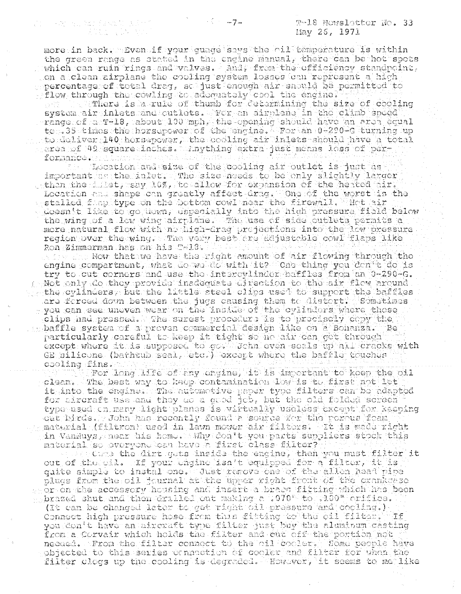The same and marked with a Tarah Kabupatén Ing

more in back. sven if your guage says the cil temperature is within the green range as stated in the engine manual, there can be hot spots which can ruin rings and valves. And, from the efficiency standpoint, on a clean airplane the cooling system losses can represent a high percentage of total drag, so just enough air snould be permitted to flow through the cowling to addomately cool the engine? There is a rule of thumb for cetermining the size of cooling system air inlets and outlets. Teer an airplane in the climb speed  $\sim$ range of a TAl $8$ , about 100  $\mathrm{min}$ , the opening should have an area equal to 35 times the horsepower of the engine. For an 0-290-6 turning up to deliver 140 horsepower, the cooling air inlets should have a total erea of 49 square inches. Anything extra just means loss of perg forgance.

Location and size of the cooling air outlet is just as important as the inlet. The size needs to be only slightly larger then the fillet, say 10%, to allow for expansion of the heated fire Location and shape can greatly affect drag. One of the worst is the stalled flapitype on the bottom cowl near the firewall. That air doesn $\mathfrak{h}$  like to go down, dspecially into the high pressure field below the wing of a low wing airplane. The use of side outlets permits a more natural flow with no high-drag projections into the low pressure region over the wing. The very best are adjustable cowl flaps like RongZimmerman has on his Twl8.

the sins Now that we have the right amount of air flowing through the engine compartment, what do we do with it? One thing you don't do is try to cut corners and use the intercylinder batfles from an 0-290-G.  $\epsilon$  Not only do they provide inadequate direction to the air flow around . gg the cylinders, but the little steel clips used to support the baffles are forced down between the jugs causing them to distort. Sometimes - you can see uneven wear on the instae of the cylinders where these clips had pressed. The surest procedure is to procisely copy the ssibaffle system of a proven commercial design like on a Bonanza. Be particularly careful to keep it tight so no air can get through except where ttas supposed to governous socistup all cracks with GE silicone (bathtub seal, etc.) except where the baffle touches cooling fins.

For long life of any engine, it is important to keep the oil clean. The best way to keep contamination low is to first not let it into the engine. The nutomotive paper type filters can be adapted for adreraft use and they do a good job, but the old folded screen type-used cn many light planes is virtually useless except for keeping out birds. Tohn has recently found a source for the porous foam material (filtron) used in lawn mover air filters. It is mede right in VanNuys, near his home. AWhy don't you parts suppliers stock this material so everyone can have a first class filter?

out of the dirt gets inside the engine, then you must filter it<br>out of the oil. If your engine isn't equipped for a filter, it is guite simple to instal one. Just remove one of the allen head pipe plugs from the oil journal at the upper right front of the crankgage shor on the accessory housing and insert a brase fitting which has been  $_{\odot\odot}$ brazed shut and then drilled out making a 1070" to 109" crifice. (It can be changed later to get right oil pressure and cooling.) Connect high pressure hose from this fitting to the cil filter. If from a Corvair which holds the filter and cut off the portion not necaed. From the filter connoct to the oil cooler. Some beople have objected to this series connection of cooler and filter for when the filter clogs up the cooling is degraded. However, it seems to me like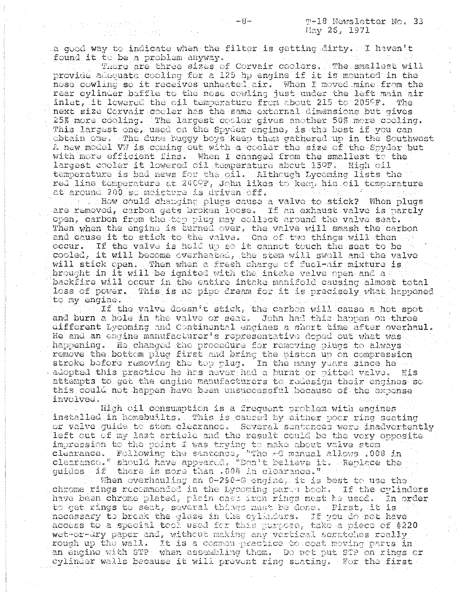a good way to indicate when the filter is getting dirty. I haven't found it to be a problem anyway.

There are three sizes of Corvair coolers. The smallest will provide adequate cooling for a 125 hp engine if it is mounted in the nose cowling so it receives unheated air. When I moved mine from the rear cylinder baffle to the nose cowling just under the left main air inlet, it lowered the oil temperature from about 215 to 205°F. The next size Corvair cooler has the same external dimensions but gives 25% more cooling. The largest cooler gives another 50% more cooling. This largest one, used on the Spyder engine, is the best if you can obtain one. The dune huggy boys keep them gathered up in the Southwest A new model VW is coming out with a cooler the size of the Spyder but with more efficient fins. When I changed from the smallest to the largest cooler it lowered oil temperature about 150F. High oil temperature is bad news for the oil. Although Lycoming lists the red line temperature at 2400g, John likes to keep his oil temperature at around 200 so moisture is driven off.

. The How could changing plugs cause a valve to stick? When plugs are removed, carbon gets broken loose. If an exhaust valve is partly open, carbon from the top plug may collect around the valve seat. Then when the engino is turned over, the valve will smash the carbon and cause it to stick to the valve. One of two things will then occur. If the valve is held up so it cannot touch the seat to be  $\texttt{cooled}_\epsilon$  it will become overheated, the stem will swell and the valve will stick open. Then when a fresh charge of fuel-air mixture is brought in it will be ignited with the intake valve open and a backfire will occur in the entire intake manifold causing almost total loss of power. This is no pipe dream for it is precisely what happened to my engine.

If the valve doesn't stick, the carbon will cause a hot spot and burn a hole in the valve or seat. John had this happen on three different Lycoming and Continental engines a short time after overhaul. He and an engine manufacturer's representative doped out what was happening. The changed the procedure for removing plugs to always remove the bottom plug first and bring the piston up on compression stroke before removing the top plug. In the many years since he adopted this practice he has never had a burnt or pitted valve. His attempts to get the engine manufacturers to redesign their engines so this could not happen have been unsuccessful because of the expense involved.

High oil consumption is a frequent problem with engines installed in homebuilts. This is caused by either poor ring seating or valve guide to stem clearance. Several sentences were inadvertently left out of my last article and the result could be the very opposite impression to the point I was trying to make about valve stem the clearance. Following the sentence, "The -G manual allows :008 in clearance." should have appeared, "Don't believe it. Replace the quides if there is more than .004 in clearance."

When overhauling an  $0-290-6$  engine, it is best to use the chrome rings recommended in the Lycoming parts book. If the cylinders have been chrome plated, plain cast iron rings must be used. In order to get rings to seat, several things must be done. First, it is necessary to break the glaze in the cylinders. If you do not have access to a special tool used for this purpose, take a piece of #220 wet-or-dry paper and, without making any vertical scratches really rough up the wall. It is a common practice to coat moving parts in an engine with STP; when assembling them. Do not put STP on rings or cylinder walls because it will prevent ring seating. For the first .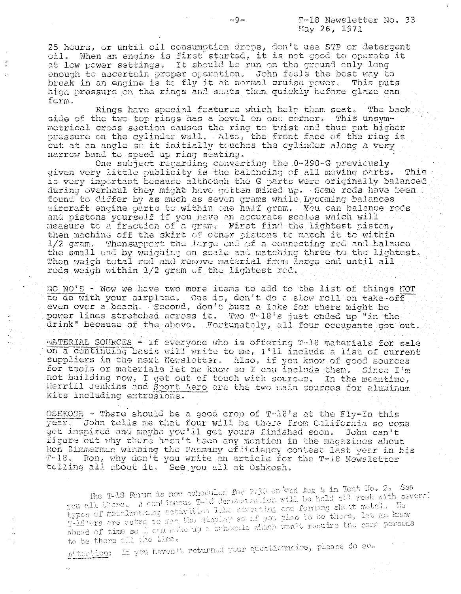25 hours, or until oil consumption drops, don't use STP or detergent oil. When an engine is first started, it is not good to operate it at low power settings. It should be run on the ground only long enough to ascertain proper operation. John feels the best way to break in an engine is to fly it at normal cruise power. This puts high pressure on the rings and seats them quickly before glaze can  $form.$ 

Rings have special features which help them seat. The back side of the two top rings has a bevel on one corner. This unsymmetrical cross section causes the ring to twist and thus put higher pressure on the cylinder wall. Also, the front face of the ring is cut at an angle so it initially touches the cylinder along a very narrow band to speed up ring seating.

One subject regarding converting the 0-290-G previously given very little publicity is the balancing of all moving parts. This is very important because although the G parts were originally balanced during overhaul they might have gotten mixed up. Some rods have been. found to differ by as much as seven grams while Lycoming balances aircraft engine parts to within one half gram. You can balance rods and pistons yourself if you have an accurate scales which will then machine off the skirt of other pistons to match it to within 1/2 gram. Thensupport the large end of a connecting rod and balance the small end by weighing on scale and matching three to the lightest. Then weigh total rod and remove material from large end until all rods weigh within 1/2 gram of the lightest rod.

NO NO'S - Now we have two more items to add to the list of things NOT to do with your airplane. One is, don't do a slow roll on take-off even over a beach. Second, don't buzz a lake for there might be power lines stretched across it. Two T-18's just ended up "in the drink" because of the above. Fortunately, all four occupants got out.

MATERIAL SOURCES  $-$  If everyone who is offering T-18 materials for sale on a continuing basis will write to me, I'll include a list of current suppliers in the next Newsletter. Also, if you know of good sources for tools or materials let me know so I can include them. Since I'm not building now, I get out of touch with sources. In the meantime, Herrill Jenkins and Sport Aero are the two main sources for aluminum kits including extrusions.

OSHKOCH - There should be a good crop of  $T-18' s$  at the Fly-In this year. John tells me that four will be there from California so come get inspired and maybe you'll get yours finished soon. John can't figure out why there haen't been any mention in the magazines about Ron Zimmerman winning the Pasmany efficiency contest last year in his T-18. Ron, why don't you write an article for the T-18 Newsletter telling all about it. See you all at Oshkosh.

The T-18 Forum is now schoduled for 2:30 on Wed Aug 4 in Tent No. 2. See you all there. A continuous T-18 demonstration will be hold all week with several types of metalworking activities lake risetting and forming sheat matal. We T-18 ters are asked to men the display so if you plan to be there, let me know ahead of time so I can make up a scheaale which won't require the same persons to be there all the time.

Attention: If you haven't returned your questionnaire, please do so.